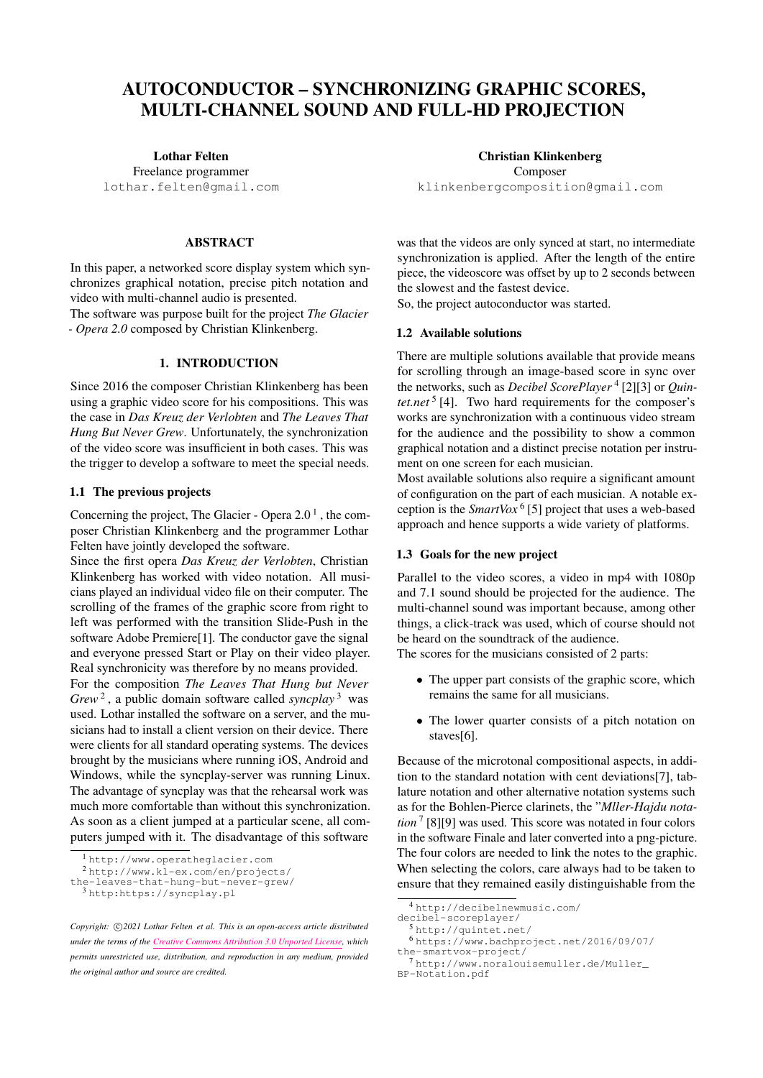# AUTOCONDUCTOR – SYNCHRONIZING GRAPHIC SCORES, MULTI-CHANNEL SOUND AND FULL-HD PROJECTION

Lothar Felten Freelance programmer [lothar.felten@gmail.com](mailto:lothar.felten@gmail.com)

#### ABSTRACT

In this paper, a networked score display system which synchronizes graphical notation, precise pitch notation and video with multi-channel audio is presented.

The software was purpose built for the project *The Glacier - Opera 2.0* composed by Christian Klinkenberg.

# 1. INTRODUCTION

Since 2016 the composer Christian Klinkenberg has been using a graphic video score for his compositions. This was the case in *Das Kreuz der Verlobten* and *The Leaves That Hung But Never Grew*. Unfortunately, the synchronization of the video score was insufficient in both cases. This was the trigger to develop a software to meet the special needs.

#### 1.1 The previous projects

Concerning the project, The Glacier - Opera  $2.0<sup>1</sup>$  $2.0<sup>1</sup>$  $2.0<sup>1</sup>$ , the composer Christian Klinkenberg and the programmer Lothar Felten have jointly developed the software.

Since the first opera *Das Kreuz der Verlobten*, Christian Klinkenberg has worked with video notation. All musicians played an individual video file on their computer. The scrolling of the frames of the graphic score from right to left was performed with the transition Slide-Push in the software Adobe Premiere[\[1\]](#page-4-0). The conductor gave the signal and everyone pressed Start or Play on their video player. Real synchronicity was therefore by no means provided.

For the composition *The Leaves That Hung but Never Grew* [2](#page-0-1) , a public domain software called *syncplay* [3](#page-0-2) was used. Lothar installed the software on a server, and the musicians had to install a client version on their device. There were clients for all standard operating systems. The devices brought by the musicians where running iOS, Android and Windows, while the syncplay-server was running Linux. The advantage of syncplay was that the rehearsal work was much more comfortable than without this synchronization. As soon as a client jumped at a particular scene, all computers jumped with it. The disadvantage of this software

Christian Klinkenberg Composer [klinkenbergcomposition@gmail.com](mailto:klinkenbergcomposition@gmail.com)

was that the videos are only synced at start, no intermediate synchronization is applied. After the length of the entire piece, the videoscore was offset by up to 2 seconds between the slowest and the fastest device.

So, the project autoconductor was started.

#### 1.2 Available solutions

There are multiple solutions available that provide means for scrolling through an image-based score in sync over the networks, such as *Decibel ScorePlayer* [4](#page-0-3) [\[2\]](#page-4-1)[\[3\]](#page-4-2) or *Quin-*tet.net<sup>[5](#page-0-4)</sup> [\[4\]](#page-4-3). Two hard requirements for the composer's works are synchronization with a continuous video stream for the audience and the possibility to show a common graphical notation and a distinct precise notation per instrument on one screen for each musician.

Most available solutions also require a significant amount of configuration on the part of each musician. A notable exception is the *SmartVox* [6](#page-0-5) [\[5\]](#page-4-4) project that uses a web-based approach and hence supports a wide variety of platforms.

#### 1.3 Goals for the new project

Parallel to the video scores, a video in mp4 with 1080p and 7.1 sound should be projected for the audience. The multi-channel sound was important because, among other things, a click-track was used, which of course should not be heard on the soundtrack of the audience.

The scores for the musicians consisted of 2 parts:

- The upper part consists of the graphic score, which remains the same for all musicians.
- The lower quarter consists of a pitch notation on staves[\[6\]](#page-4-5).

Because of the microtonal compositional aspects, in addition to the standard notation with cent deviations[\[7\]](#page-4-6), tablature notation and other alternative notation systems such as for the Bohlen-Pierce clarinets, the "*Mller-Hajdu notation* [7](#page-0-6) [\[8\]](#page-4-7)[\[9\]](#page-4-8) was used. This score was notated in four colors in the software Finale and later converted into a png-picture. The four colors are needed to link the notes to the graphic. When selecting the colors, care always had to be taken to ensure that they remained easily distinguishable from the

<span id="page-0-1"></span><span id="page-0-0"></span><sup>1</sup> <http://www.operatheglacier.com>

<sup>2</sup> [http://www.kl-ex.com/en/projects/](http://www.kl-ex.com/en/projects/the-leaves-that-hung-but-never-grew/)

[the-leaves-that-hung-but-never-grew/](http://www.kl-ex.com/en/projects/the-leaves-that-hung-but-never-grew/)

<span id="page-0-2"></span><sup>3</sup> <http:https://syncplay.pl>

Copyright:  $\bigcirc$ 2021 Lothar Felten et al. This is an open-access article distributed *under the terms of the [Creative Commons Attribution 3.0 Unported License,](http://creativecommons.org/licenses/by/3.0/) which permits unrestricted use, distribution, and reproduction in any medium, provided the original author and source are credited.*

<span id="page-0-3"></span><sup>4</sup> [http://decibelnewmusic.com/](http://decibelnewmusic.com/decibel-scoreplayer/)

[decibel-scoreplayer/](http://decibelnewmusic.com/decibel-scoreplayer/)

<span id="page-0-4"></span><sup>5</sup> <http://quintet.net/>

<span id="page-0-5"></span><sup>6</sup> [https://www.bachproject.net/2016/09/07/](https://www.bachproject.net/2016/09/07/the-smartvox-project/)

[the-smartvox-project/](https://www.bachproject.net/2016/09/07/the-smartvox-project/)

<span id="page-0-6"></span><sup>7</sup> [http://www.noralouisemuller.de/Muller\\_](http://www.noralouisemuller.de/Muller_BP-Notation.pdf) [BP-Notation.pdf](http://www.noralouisemuller.de/Muller_BP-Notation.pdf)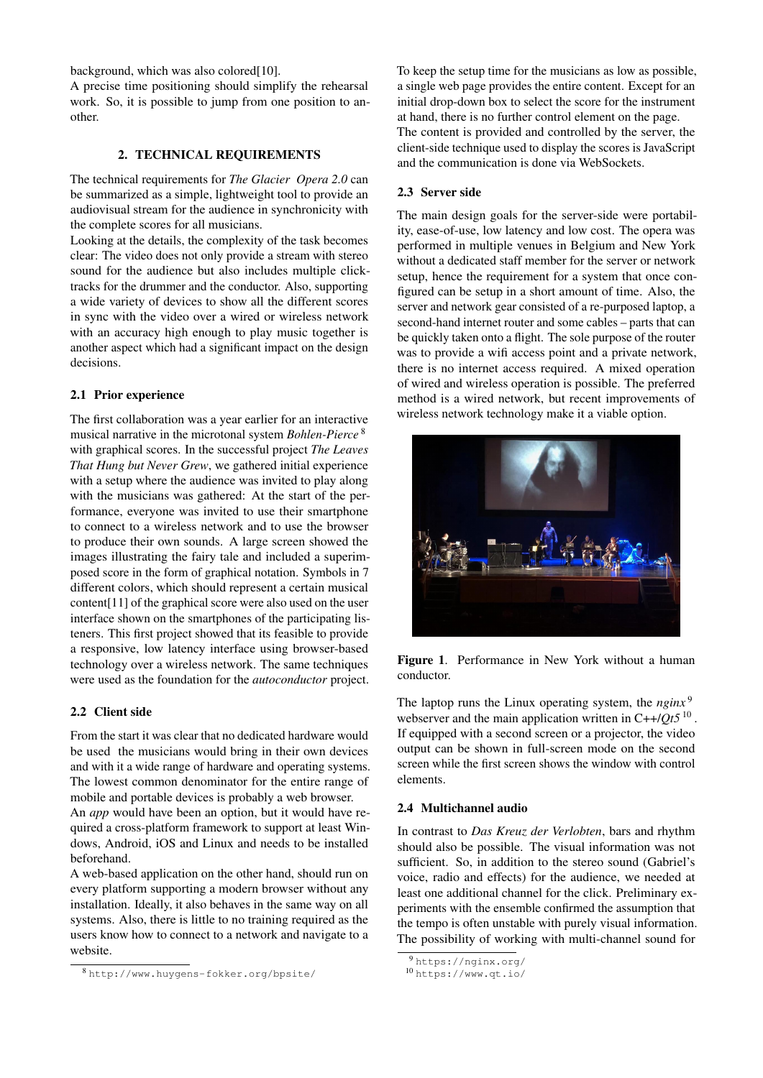background, which was also colored[\[10\]](#page-4-9).

A precise time positioning should simplify the rehearsal work. So, it is possible to jump from one position to another.

## 2. TECHNICAL REQUIREMENTS

The technical requirements for *The Glacier Opera 2.0* can be summarized as a simple, lightweight tool to provide an audiovisual stream for the audience in synchronicity with the complete scores for all musicians.

Looking at the details, the complexity of the task becomes clear: The video does not only provide a stream with stereo sound for the audience but also includes multiple clicktracks for the drummer and the conductor. Also, supporting a wide variety of devices to show all the different scores in sync with the video over a wired or wireless network with an accuracy high enough to play music together is another aspect which had a significant impact on the design decisions.

#### 2.1 Prior experience

The first collaboration was a year earlier for an interactive musical narrative in the microtonal system *Bohlen-Pierce* [8](#page-1-0) with graphical scores. In the successful project *The Leaves That Hung but Never Grew*, we gathered initial experience with a setup where the audience was invited to play along with the musicians was gathered: At the start of the performance, everyone was invited to use their smartphone to connect to a wireless network and to use the browser to produce their own sounds. A large screen showed the images illustrating the fairy tale and included a superimposed score in the form of graphical notation. Symbols in 7 different colors, which should represent a certain musical content[\[11\]](#page-4-10) of the graphical score were also used on the user interface shown on the smartphones of the participating listeners. This first project showed that its feasible to provide a responsive, low latency interface using browser-based technology over a wireless network. The same techniques were used as the foundation for the *autoconductor* project.

## 2.2 Client side

From the start it was clear that no dedicated hardware would be used the musicians would bring in their own devices and with it a wide range of hardware and operating systems. The lowest common denominator for the entire range of mobile and portable devices is probably a web browser.

An *app* would have been an option, but it would have required a cross-platform framework to support at least Windows, Android, iOS and Linux and needs to be installed beforehand.

A web-based application on the other hand, should run on every platform supporting a modern browser without any installation. Ideally, it also behaves in the same way on all systems. Also, there is little to no training required as the users know how to connect to a network and navigate to a website.

To keep the setup time for the musicians as low as possible, a single web page provides the entire content. Except for an initial drop-down box to select the score for the instrument at hand, there is no further control element on the page. The content is provided and controlled by the server, the client-side technique used to display the scores is JavaScript and the communication is done via WebSockets.

## 2.3 Server side

The main design goals for the server-side were portability, ease-of-use, low latency and low cost. The opera was performed in multiple venues in Belgium and New York without a dedicated staff member for the server or network setup, hence the requirement for a system that once configured can be setup in a short amount of time. Also, the server and network gear consisted of a re-purposed laptop, a second-hand internet router and some cables – parts that can be quickly taken onto a flight. The sole purpose of the router was to provide a wifi access point and a private network, there is no internet access required. A mixed operation of wired and wireless operation is possible. The preferred method is a wired network, but recent improvements of wireless network technology make it a viable option.



Figure 1. Performance in New York without a human conductor.

The laptop runs the Linux operating system, the *nginx*<sup>[9](#page-1-1)</sup> webserver and the main application written in C++/*Qt5*<sup>[10](#page-1-2)</sup>. If equipped with a second screen or a projector, the video output can be shown in full-screen mode on the second screen while the first screen shows the window with control elements.

## 2.4 Multichannel audio

In contrast to *Das Kreuz der Verlobten*, bars and rhythm should also be possible. The visual information was not sufficient. So, in addition to the stereo sound (Gabriel's voice, radio and effects) for the audience, we needed at least one additional channel for the click. Preliminary experiments with the ensemble confirmed the assumption that the tempo is often unstable with purely visual information. The possibility of working with multi-channel sound for

<span id="page-1-0"></span><sup>8</sup> <http://www.huygens-fokker.org/bpsite/>

<span id="page-1-1"></span><sup>9</sup> <https://nginx.org/>

<span id="page-1-2"></span><sup>10</sup> <https://www.qt.io/>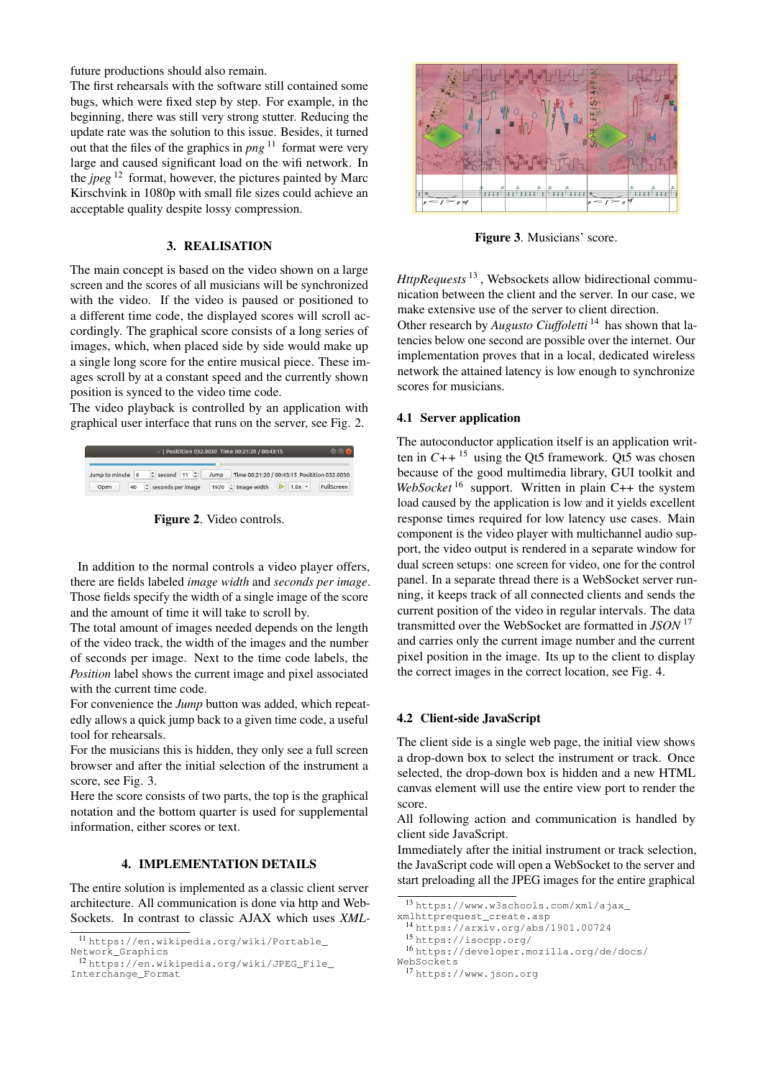future productions should also remain.

The first rehearsals with the software still contained some bugs, which were fixed step by step. For example, in the beginning, there was still very strong stutter. Reducing the update rate was the solution to this issue. Besides, it turned out that the files of the graphics in  $png$ <sup>[11](#page-2-0)</sup> format were very large and caused significant load on the wifi network. In the *jpeg* [12](#page-2-1) format, however, the pictures painted by Marc Kirschvink in 1080p with small file sizes could achieve an acceptable quality despite lossy compression.

# 3. REALISATION

The main concept is based on the video shown on a large screen and the scores of all musicians will be synchronized with the video. If the video is paused or positioned to a different time code, the displayed scores will scroll accordingly. The graphical score consists of a long series of images, which, when placed side by side would make up a single long score for the entire musical piece. These images scroll by at a constant speed and the currently shown position is synced to the video time code.

The video playback is controlled by an application with graphical user interface that runs on the server, see Fig. [2.](#page-2-2)

<span id="page-2-2"></span>

Figure 2. Video controls.

In addition to the normal controls a video player offers, there are fields labeled *image width* and *seconds per image*. Those fields specify the width of a single image of the score and the amount of time it will take to scroll by.

The total amount of images needed depends on the length of the video track, the width of the images and the number of seconds per image. Next to the time code labels, the *Position* label shows the current image and pixel associated with the current time code.

For convenience the *Jump* button was added, which repeatedly allows a quick jump back to a given time code, a useful tool for rehearsals.

For the musicians this is hidden, they only see a full screen browser and after the initial selection of the instrument a score, see Fig. [3.](#page-2-3)

Here the score consists of two parts, the top is the graphical notation and the bottom quarter is used for supplemental information, either scores or text.

## 4. IMPLEMENTATION DETAILS

The entire solution is implemented as a classic client server architecture. All communication is done via http and Web-Sockets. In contrast to classic AJAX which uses *XML-*

<span id="page-2-3"></span>

Figure 3. Musicians' score.

*HttpRequests* [13](#page-2-4) , Websockets allow bidirectional communication between the client and the server. In our case, we make extensive use of the server to client direction.

Other research by *Augusto Ciuffoletti*<sup>[14](#page-2-5)</sup> has shown that latencies below one second are possible over the internet. Our implementation proves that in a local, dedicated wireless network the attained latency is low enough to synchronize scores for musicians.

## 4.1 Server application

The autoconductor application itself is an application written in  $C++$ <sup>[15](#page-2-6)</sup> using the Qt5 framework. Qt5 was chosen because of the good multimedia library, GUI toolkit and *WebSocket* [16](#page-2-7) support. Written in plain C++ the system load caused by the application is low and it yields excellent response times required for low latency use cases. Main component is the video player with multichannel audio support, the video output is rendered in a separate window for dual screen setups: one screen for video, one for the control panel. In a separate thread there is a WebSocket server running, it keeps track of all connected clients and sends the current position of the video in regular intervals. The data transmitted over the WebSocket are formatted in *JSON* [17](#page-2-8) and carries only the current image number and the current pixel position in the image. Its up to the client to display the correct images in the correct location, see Fig. [4.](#page-3-0)

## 4.2 Client-side JavaScript

The client side is a single web page, the initial view shows a drop-down box to select the instrument or track. Once selected, the drop-down box is hidden and a new HTML canvas element will use the entire view port to render the score.

All following action and communication is handled by client side JavaScript.

Immediately after the initial instrument or track selection, the JavaScript code will open a WebSocket to the server and start preloading all the JPEG images for the entire graphical

<span id="page-2-0"></span><sup>11</sup> [https://en.wikipedia.org/wiki/Portable\\_](https://en.wikipedia.org/wiki/Portable_Network_Graphics) [Network\\_Graphics](https://en.wikipedia.org/wiki/Portable_Network_Graphics)

<span id="page-2-1"></span><sup>12</sup> [https://en.wikipedia.org/wiki/JPEG\\_File\\_](https://en.wikipedia.org/wiki/JPEG_File_Interchange_Format) [Interchange\\_Format](https://en.wikipedia.org/wiki/JPEG_File_Interchange_Format)

<span id="page-2-4"></span><sup>13</sup> [https://www.w3schools.com/xml/ajax\\_](https://www.w3schools.com/xml/ajax_xmlhttprequest_create.asp)

[xmlhttprequest\\_create.asp](https://www.w3schools.com/xml/ajax_xmlhttprequest_create.asp)

<span id="page-2-5"></span><sup>14</sup> <https://arxiv.org/abs/1901.00724>

<span id="page-2-6"></span><sup>15</sup> <https://isocpp.org/>

<span id="page-2-7"></span><sup>16</sup> [https://developer.mozilla.org/de/docs/](https://developer.mozilla.org/de/docs/WebSockets)

[WebSockets](https://developer.mozilla.org/de/docs/WebSockets)

<span id="page-2-8"></span><sup>17</sup> <https://www.json.org>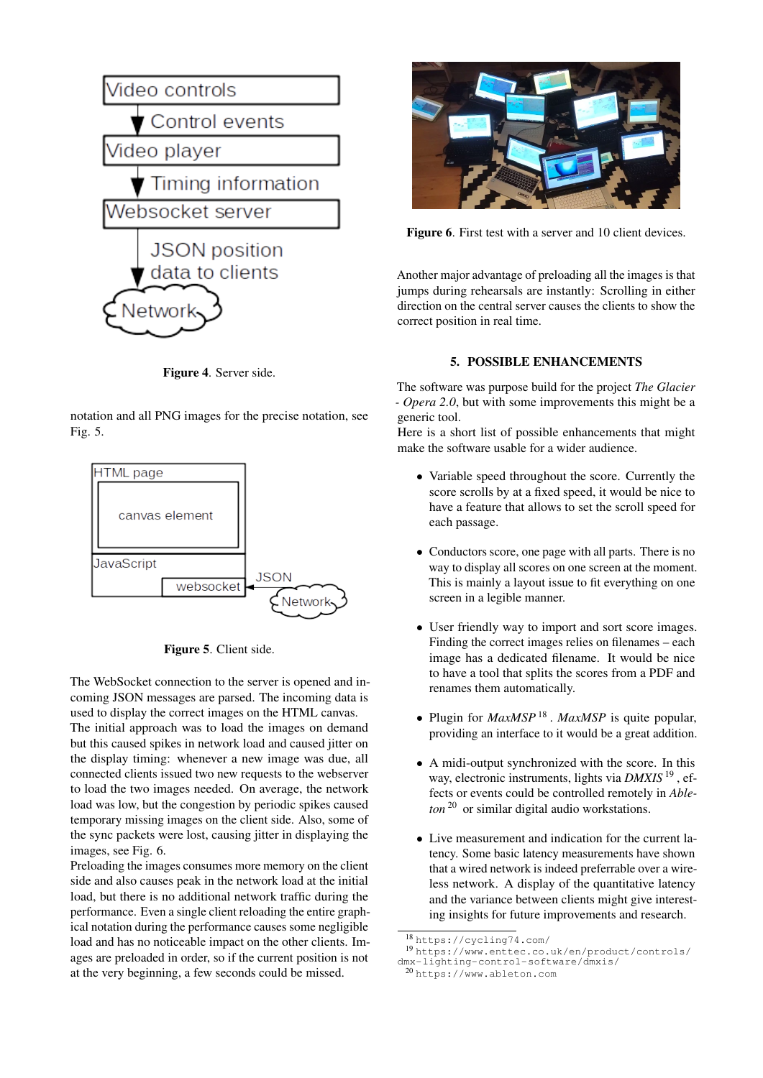<span id="page-3-0"></span>

Figure 4. Server side.

notation and all PNG images for the precise notation, see Fig. [5.](#page-3-1)

<span id="page-3-1"></span>



The WebSocket connection to the server is opened and incoming JSON messages are parsed. The incoming data is used to display the correct images on the HTML canvas.

The initial approach was to load the images on demand but this caused spikes in network load and caused jitter on the display timing: whenever a new image was due, all connected clients issued two new requests to the webserver to load the two images needed. On average, the network load was low, but the congestion by periodic spikes caused temporary missing images on the client side. Also, some of the sync packets were lost, causing jitter in displaying the images, see Fig. [6.](#page-3-2)

Preloading the images consumes more memory on the client side and also causes peak in the network load at the initial load, but there is no additional network traffic during the performance. Even a single client reloading the entire graphical notation during the performance causes some negligible load and has no noticeable impact on the other clients. Images are preloaded in order, so if the current position is not at the very beginning, a few seconds could be missed.

<span id="page-3-2"></span>

Figure 6. First test with a server and 10 client devices.

Another major advantage of preloading all the images is that jumps during rehearsals are instantly: Scrolling in either direction on the central server causes the clients to show the correct position in real time.

## 5. POSSIBLE ENHANCEMENTS

The software was purpose build for the project *The Glacier - Opera 2.0*, but with some improvements this might be a generic tool.

Here is a short list of possible enhancements that might make the software usable for a wider audience.

- Variable speed throughout the score. Currently the score scrolls by at a fixed speed, it would be nice to have a feature that allows to set the scroll speed for each passage.
- Conductors score, one page with all parts. There is no way to display all scores on one screen at the moment. This is mainly a layout issue to fit everything on one screen in a legible manner.
- User friendly way to import and sort score images. Finding the correct images relies on filenames – each image has a dedicated filename. It would be nice to have a tool that splits the scores from a PDF and renames them automatically.
- Plugin for *MaxMSP* [18](#page-3-3) . *MaxMSP* is quite popular, providing an interface to it would be a great addition.
- A midi-output synchronized with the score. In this way, electronic instruments, lights via *DMXIS* [19](#page-3-4) , effects or events could be controlled remotely in *Ableton* [20](#page-3-5) or similar digital audio workstations.
- Live measurement and indication for the current latency. Some basic latency measurements have shown that a wired network is indeed preferrable over a wireless network. A display of the quantitative latency and the variance between clients might give interesting insights for future improvements and research.

<span id="page-3-3"></span><sup>18</sup> <https://cycling74.com/>

<span id="page-3-4"></span><sup>19</sup> [https://www.enttec.co.uk/en/product/controls/](https://www.enttec.co.uk/en/product/controls/dmx-lighting-control-software/dmxis/)

[dmx-lighting-control-software/dmxis/](https://www.enttec.co.uk/en/product/controls/dmx-lighting-control-software/dmxis/)

<span id="page-3-5"></span><sup>20</sup> <https://www.ableton.com>